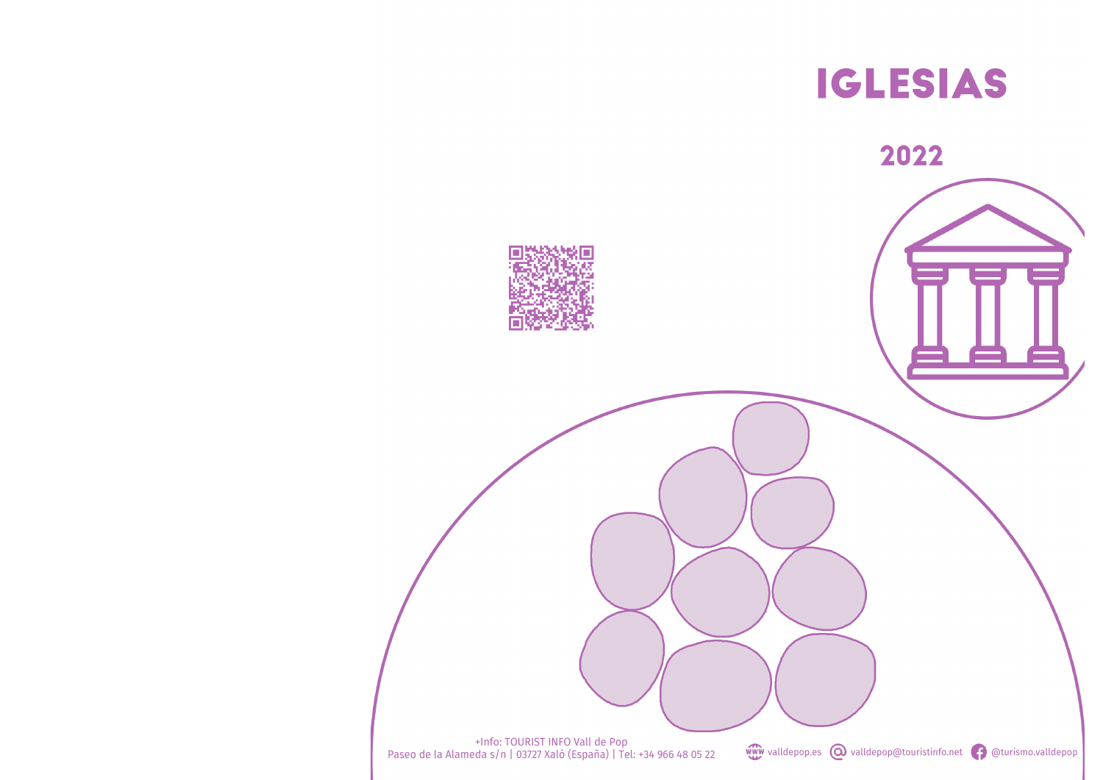

-Info: TOURIST INFO Vall de Pop<br>Paseo de la Alameda s/n | 03727 Xaló (España) | Tel: +34 966 48 05 22